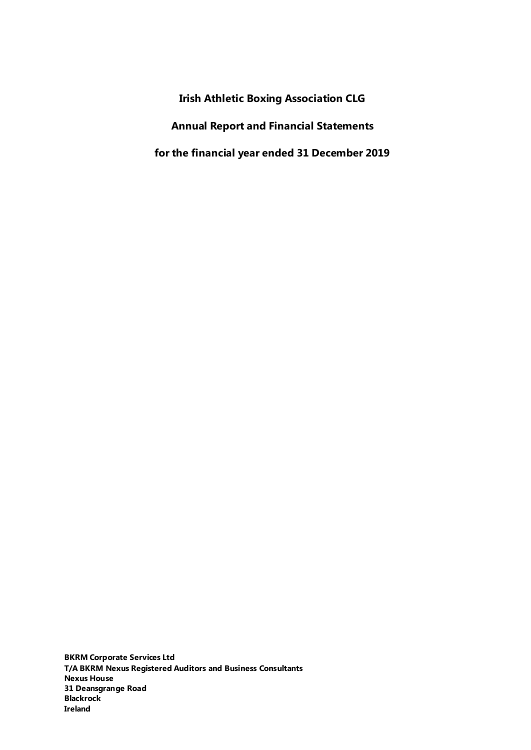**Irish Athletic Boxing Association CLG Annual Report and Financial Statements for the financial year ended 31 December 2019** 

**BKRM Corporate Services Ltd T/A BKRM Nexus Registered Auditors and Business Consultants Nexus House 31 Deansgrange Road Blackrock Ireland**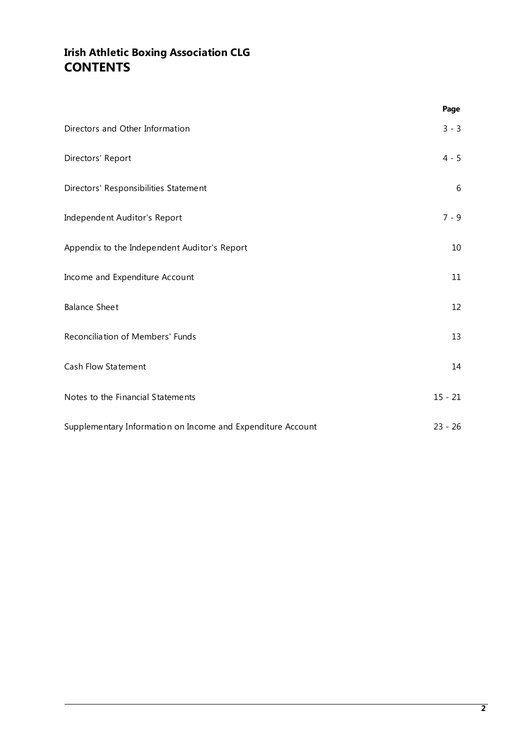# **Irish Athletic Boxing Association CLG CONTENTS**

|                                                             | Page      |
|-------------------------------------------------------------|-----------|
| Directors and Other Information                             | $3 - 3$   |
| Directors' Report                                           | $4 - 5$   |
| Directors' Responsibilities Statement                       | 6         |
| Independent Auditor's Report                                | $7 - 9$   |
| Appendix to the Independent Auditor's Report                | 10        |
| Income and Expenditure Account                              | 11        |
| <b>Balance Sheet</b>                                        | 12        |
| Reconciliation of Members' Funds                            | 13        |
| Cash Flow Statement                                         | 14        |
| Notes to the Financial Statements                           | $15 - 21$ |
| Supplementary Information on Income and Expenditure Account | $23 - 26$ |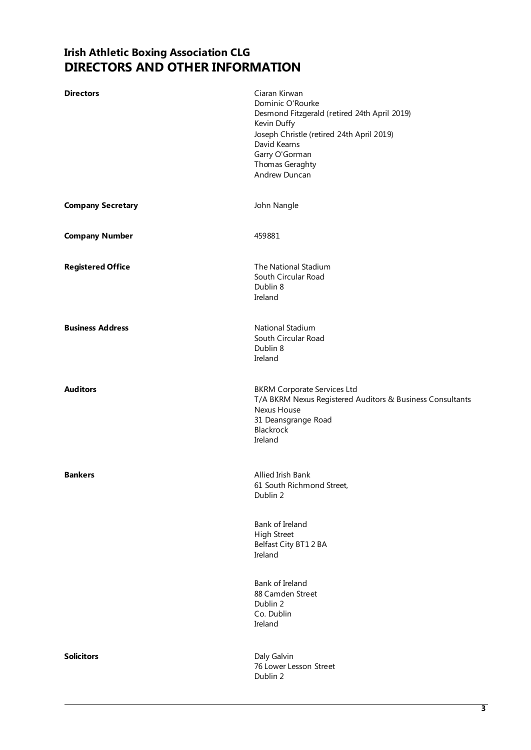## **Irish Athletic Boxing Association CLG DIRECTORS AND OTHER INFORMATION**

<span id="page-2-1"></span><span id="page-2-0"></span>

| <b>Directors</b>         | Ciaran Kirwan<br>Dominic O'Rourke<br>Desmond Fitzgerald (retired 24th April 2019)<br>Kevin Duffy<br>Joseph Christle (retired 24th April 2019)<br>David Kearns<br>Garry O'Gorman<br>Thomas Geraghty<br>Andrew Duncan |
|--------------------------|---------------------------------------------------------------------------------------------------------------------------------------------------------------------------------------------------------------------|
| <b>Company Secretary</b> | John Nangle                                                                                                                                                                                                         |
| <b>Company Number</b>    | 459881                                                                                                                                                                                                              |
| <b>Registered Office</b> | The National Stadium<br>South Circular Road<br>Dublin 8<br>Ireland                                                                                                                                                  |
| <b>Business Address</b>  | National Stadium<br>South Circular Road<br>Dublin 8<br>Ireland                                                                                                                                                      |
| <b>Auditors</b>          | <b>BKRM Corporate Services Ltd</b><br>T/A BKRM Nexus Registered Auditors & Business Consultants<br>Nexus House<br>31 Deansgrange Road<br>Blackrock<br>Ireland                                                       |
| <b>Bankers</b>           | Allied Irish Bank<br>61 South Richmond Street,<br>Dublin 2                                                                                                                                                          |
|                          | Bank of Ireland<br><b>High Street</b><br>Belfast City BT12BA<br>Ireland                                                                                                                                             |
|                          | Bank of Ireland<br>88 Camden Street<br>Dublin 2<br>Co. Dublin<br>Ireland                                                                                                                                            |
| <b>Solicitors</b>        | Daly Galvin<br>76 Lower Lesson Street<br>Dublin 2                                                                                                                                                                   |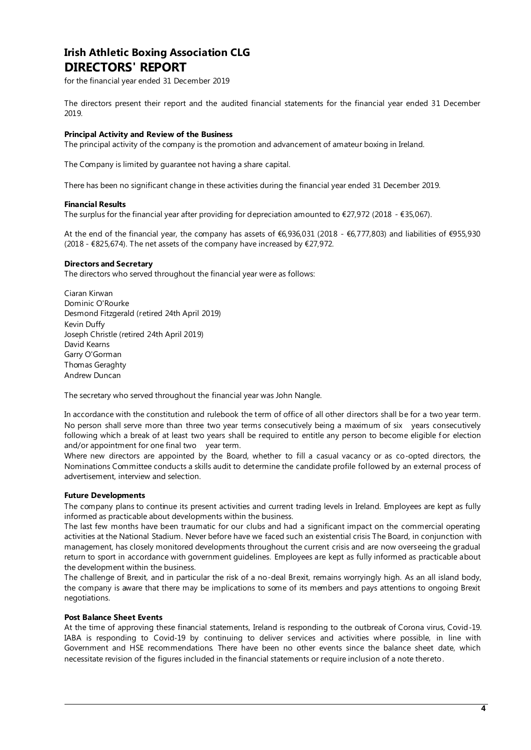### **Irish Athletic Boxing Association CLG DIRECTORS' REPORT**

for the financial year ended 31 December 2019

<span id="page-3-0"></span>The directors present their report and the audited financial statements for the financial year ended 31 December 2019.

#### **Principal Activity and Review of the Business**

The principal activity of the company is the promotion and advancement of amateur boxing in Ireland.

The Company is limited by guarantee not having a share capital.

There has been no significant change in these activities during the financial year ended 31 December 2019.

#### **Financial Results**

The surplus for the financial year after providing for depreciation amounted to  $\epsilon$ 27,972 (2018 -  $\epsilon$ 35,067).

At the end of the financial year, the company has assets of €6,936,031 (2018 - €6,777,803) and liabilities of €955,930 (2018 -  $E$ 825,674). The net assets of the company have increased by  $E$ 27,972.

#### **Directors and Secretary**

The directors who served throughout the financial year were as follows:

Ciaran Kirwan Dominic O'Rourke Desmond Fitzgerald (retired 24th April 2019) Kevin Duffy Joseph Christle (retired 24th April 2019) David Kearns Garry O'Gorman Thomas Geraghty Andrew Duncan

The secretary who served throughout the financial year was John Nangle.

In accordance with the constitution and rulebook the term of office of all other directors shall be for a two year term. No person shall serve more than three two year terms consecutively being a maximum of six years consecutively following which a break of at least two years shall be required to entitle any person to become eligible for election and/or appointment for one final two year term.

Where new directors are appointed by the Board, whether to fill a casual vacancy or as co-opted directors, the Nominations Committee conducts a skills audit to determine the candidate profile followed by an external process of advertisement, interview and selection.

#### **Future Developments**

The company plans to continue its present activities and current trading levels in Ireland. Employees are kept as fully informed as practicable about developments within the business.

The last few months have been traumatic for our clubs and had a significant impact on the commercial operating activities at the National Stadium. Never before have we faced such an existential crisis The Board, in conjunction with management, has closely monitored developments throughout the current crisis and are now overseeing the gradual return to sport in accordance with government guidelines. Employees are kept as fully informed as practicable about the development within the business.

The challenge of Brexit, and in particular the risk of a no-deal Brexit, remains worryingly high. As an all island body, the company is aware that there may be implications to some of its members and pays attentions to ongoing Brexit negotiations.

#### **Post Balance Sheet Events**

At the time of approving these financial statements, Ireland is responding to the outbreak of Corona virus, Covid‐19. IABA is responding to Covid‐19 by continuing to deliver services and activities where possible, in line with Government and HSE recommendations. There have been no other events since the balance sheet date, which necessitate revision of the figures included in the financial statements or require inclusion of a note thereto.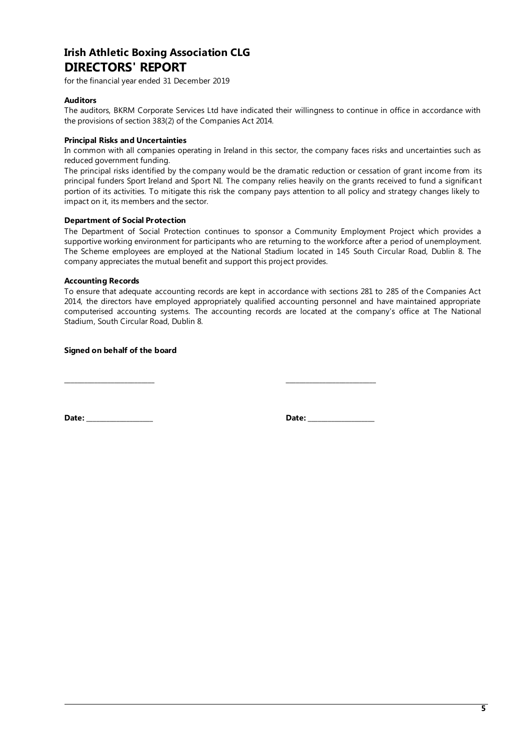## **Irish Athletic Boxing Association CLG DIRECTORS' REPORT**

for the financial year ended 31 December 2019

#### **Auditors**

The auditors, BKRM Corporate Services Ltd have indicated their willingness to continue in office in accordance with the provisions of section 383(2) of the Companies Act 2014.

#### **Principal Risks and Uncertainties**

In common with all companies operating in Ireland in this sector, the company faces risks and uncertainties such as reduced government funding.

The principal risks identified by the company would be the dramatic reduction or cessation of grant income from its principal funders Sport Ireland and Sport NI. The company relies heavily on the grants received to fund a significant portion of its activities. To mitigate this risk the company pays attention to all policy and strategy changes likely to impact on it, its members and the sector.

#### **Department of Social Protection**

The Department of Social Protection continues to sponsor a Community Employment Project which provides a supportive working environment for participants who are returning to the workforce after a period of unemployment. The Scheme employees are employed at the National Stadium located in 145 South Circular Road, Dublin 8. The company appreciates the mutual benefit and support this project provides.

#### **Accounting Records**

To ensure that adequate accounting records are kept in accordance with sections 281 to 285 of the Companies Act 2014, the directors have employed appropriately qualified accounting personnel and have maintained appropriate computerised accounting systems. The accounting records are located at the company's office at The National Stadium, South Circular Road, Dublin 8.

**Signed on behalf of the board** 

**\_\_\_\_\_\_\_\_\_\_\_\_\_\_\_\_\_\_\_\_\_\_\_\_\_\_\_ \_\_\_\_\_\_\_\_\_\_\_\_\_\_\_\_\_\_\_\_\_\_\_\_\_\_\_**

**Date: \_\_\_\_\_\_\_\_\_\_\_\_\_\_\_\_\_\_\_\_ Date: \_\_\_\_\_\_\_\_\_\_\_\_\_\_\_\_\_\_\_\_** 

<span id="page-4-0"></span>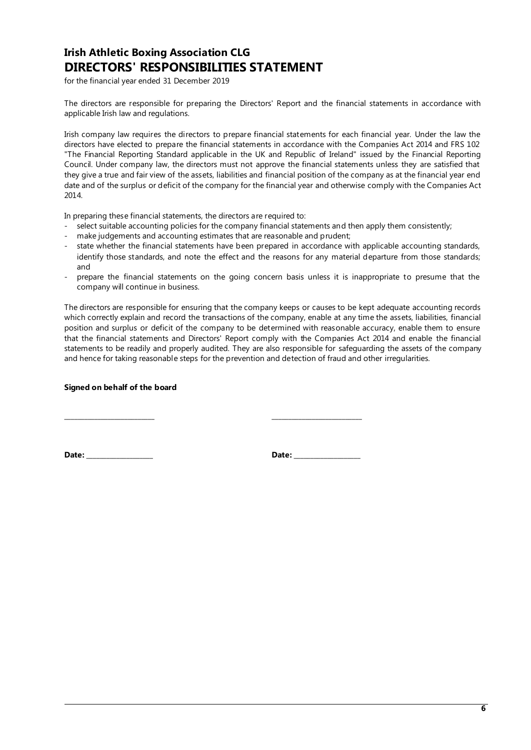## **Irish Athletic Boxing Association CLG DIRECTORS' RESPONSIBILITIES STATEMENT**

for the financial year ended 31 December 2019

<span id="page-5-0"></span>The directors are responsible for preparing the Directors' Report and the financial statements in accordance with applicable Irish law and regulations.

Irish company law requires the directors to prepare financial statements for each financial year. Under the law the directors have elected to prepare the financial statements in accordance with the Companies Act 2014 and FRS 102 "The Financial Reporting Standard applicable in the UK and Republic of Ireland" issued by the Financial Reporting Council. Under company law, the directors must not approve the financial statements unless they are satisfied that they give a true and fair view of the assets, liabilities and financial position of the company as at the financial year end date and of the surplus or deficit of the company for the financial year and otherwise comply with the Companies Act 2014.

In preparing these financial statements, the directors are required to:

- select suitable accounting policies for the company financial statements and then apply them consistently;
- make judgements and accounting estimates that are reasonable and prudent;

**\_\_\_\_\_\_\_\_\_\_\_\_\_\_\_\_\_\_\_\_\_\_\_\_\_\_\_ \_\_\_\_\_\_\_\_\_\_\_\_\_\_\_\_\_\_\_\_\_\_\_\_\_\_\_**

- state whether the financial statements have been prepared in accordance with applicable accounting standards, identify those standards, and note the effect and the reasons for any material departure from those standards; and
- prepare the financial statements on the going concern basis unless it is inappropriate to presume that the company will continue in business.

The directors are responsible for ensuring that the company keeps or causes to be kept adequate accounting records which correctly explain and record the transactions of the company, enable at any time the assets, liabilities, financial position and surplus or deficit of the company to be determined with reasonable accuracy, enable them to ensure that the financial statements and Directors' Report comply with the Companies Act 2014 and enable the financial statements to be readily and properly audited. They are also responsible for safeguarding the assets of the company and hence for taking reasonable steps for the prevention and detection of fraud and other irregularities.

#### **Signed on behalf of the board**

**Date: \_\_\_\_\_\_\_\_\_\_\_\_\_\_\_\_\_\_\_\_ Date: \_\_\_\_\_\_\_\_\_\_\_\_\_\_\_\_\_\_\_\_**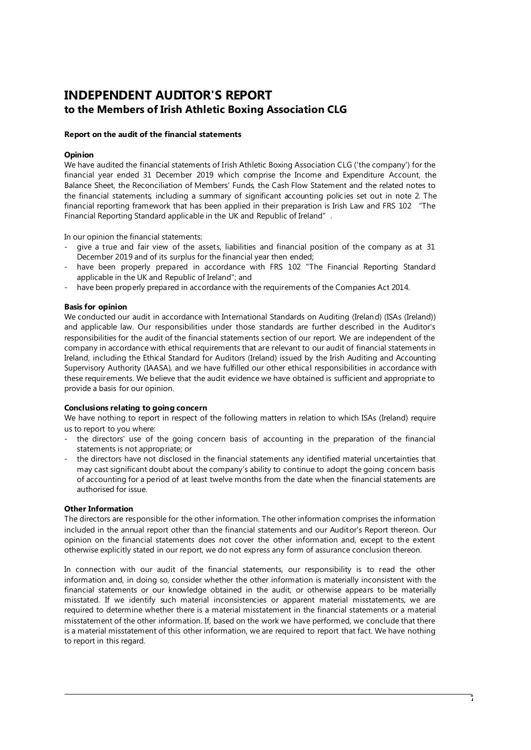## **INDEPENDENT AUDITOR'S REPORT to the Members of Irish Athletic Boxing Association CLG**

#### <span id="page-6-0"></span>**Report on the audit of the financial statements**

#### **Opinion**

We have audited the financial statements of Irish Athletic Boxing Association CLG ('the company') for the financial year ended 31 December 2019 which comprise the Income and Expenditure Account, the Balance Sheet, the Reconciliation of Members' Funds, the Cash Flow Statement and the related notes to the financial statements, including a summary of significant accounting policies set out in note 2. The financial reporting framework that has been applied in their preparation is Irish Law and FRS 102 "The Financial Reporting Standard applicable in the UK and Republic of Ireland".

In our opinion the financial statements:

- give a true and fair view of the assets, liabilities and financial position of the company as at 31 December 2019 and of its surplus for the financial year then ended;
- have been properly prepared in accordance with FRS 102 "The Financial Reporting Standard applicable in the UK and Republic of Ireland"; and
- have been properly prepared in accordance with the requirements of the Companies Act 2014.

#### **Basis for opinion**

We conducted our audit in accordance with International Standards on Auditing (Ireland) (ISAs (Ireland)) and applicable law. Our responsibilities under those standards are further described in the Auditor's responsibilities for the audit of the financial statements section of our report. We are independent of the company in accordance with ethical requirements that are relevant to our audit of financial statements in Ireland, including the Ethical Standard for Auditors (Ireland) issued by the Irish Auditing and Accounting Supervisory Authority (IAASA), and we have fulfilled our other ethical responsibilities in accordance with these requirements. We believe that the audit evidence we have obtained is sufficient and appropriate to provide a basis for our opinion.

#### **Conclusions relating to going concern**

We have nothing to report in respect of the following matters in relation to which ISAs (Ireland) require us to report to you where:

- the directors' use of the going concern basis of accounting in the preparation of the financial statements is not appropriate; or
- the directors have not disclosed in the financial statements any identified material uncertainties that may cast significant doubt about the company's ability to continue to adopt the going concern basis of accounting for a period of at least twelve months from the date when the financial statements are authorised for issue.

#### **Other Information**

The directors are responsible for the other information. The other information comprises the information included in the annual report other than the financial statements and our Auditor's Report thereon. Our opinion on the financial statements does not cover the other information and, except to the extent otherwise explicitly stated in our report, we do not express any form of assurance conclusion thereon.

In connection with our audit of the financial statements, our responsibility is to read the other information and, in doing so, consider whether the other information is materially inconsistent with the financial statements or our knowledge obtained in the audit, or otherwise appears to be materially misstated. If we identify such material inconsistencies or apparent material misstatements, we are required to determine whether there is a material misstatement in the financial statements or a material misstatement of the other information. If, based on the work we have performed, we conclude that there is a material misstatement of this other information, we are required to report that fact. We have nothing to report in this regard.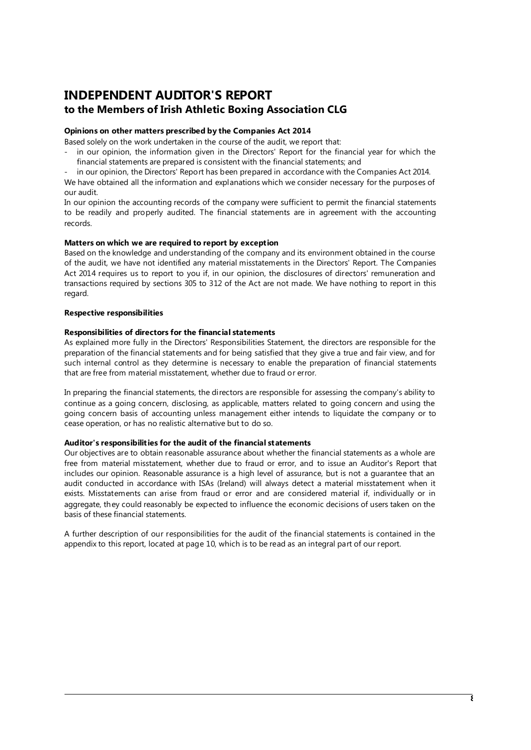## **INDEPENDENT AUDITOR'S REPORT to the Members of Irish Athletic Boxing Association CLG**

#### **Opinions on other matters prescribed by the Companies Act 2014**

Based solely on the work undertaken in the course of the audit, we report that:

- in our opinion, the information given in the Directors' Report for the financial year for which the financial statements are prepared is consistent with the financial statements; and
	- in our opinion, the Directors' Report has been prepared in accordance with the Companies Act 2014.

We have obtained all the information and explanations which we consider necessary for the purposes of our audit.

In our opinion the accounting records of the company were sufficient to permit the financial statements to be readily and properly audited. The financial statements are in agreement with the accounting records.

#### **Matters on which we are required to report by exception**

Based on the knowledge and understanding of the company and its environment obtained in the course of the audit, we have not identified any material misstatements in the Directors' Report. The Companies Act 2014 requires us to report to you if, in our opinion, the disclosures of directors' remuneration and transactions required by sections 305 to 312 of the Act are not made. We have nothing to report in this regard.

#### **Respective responsibilities**

#### **Responsibilities of directors for the financial statements**

As explained more fully in the Directors' Responsibilities Statement, the directors are responsible for the preparation of the financial statements and for being satisfied that they give a true and fair view, and for such internal control as they determine is necessary to enable the preparation of financial statements that are free from material misstatement, whether due to fraud or error.

In preparing the financial statements, the directors are responsible for assessing the company's ability to continue as a going concern, disclosing, as applicable, matters related to going concern and using the going concern basis of accounting unless management either intends to liquidate the company or to cease operation, or has no realistic alternative but to do so.

#### **Auditor's responsibilities for the audit of the financial statements**

Our objectives are to obtain reasonable assurance about whether the financial statements as a whole are free from material misstatement, whether due to fraud or error, and to issue an Auditor's Report that includes our opinion. Reasonable assurance is a high level of assurance, but is not a guarantee that an audit conducted in accordance with ISAs (Ireland) will always detect a material misstatement when it exists. Misstatements can arise from fraud or error and are considered material if, individually or in aggregate, they could reasonably be expected to influence the economic decisions of users taken on the basis of these financial statements.

A further description of our responsibilities for the audit of the financial statements is contained in the appendix to this report, located at page [10,](#page-9-0) which is to be read as an integral part of our report.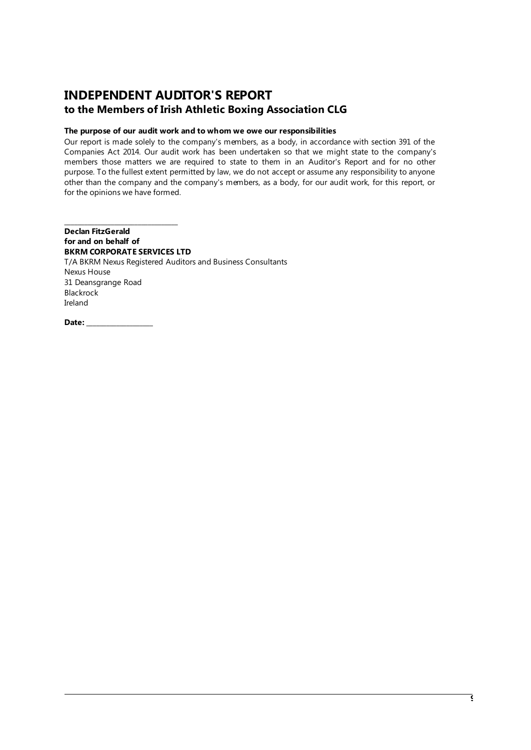## **INDEPENDENT AUDITOR'S REPORT to the Members of Irish Athletic Boxing Association CLG**

#### **The purpose of our audit work and to whom we owe our responsibilities**

Our report is made solely to the company's members, as a body, in accordance with section 391 of the Companies Act 2014. Our audit work has been undertaken so that we might state to the company's members those matters we are required to state to them in an Auditor's Report and for no other purpose. To the fullest extent permitted by law, we do not accept or assume any responsibility to anyone other than the company and the company's members, as a body, for our audit work, for this report, or for the opinions we have formed.

**\_\_\_\_\_\_\_\_\_\_\_\_\_\_\_\_\_\_\_\_\_\_\_\_\_\_\_\_\_\_\_\_\_\_ Declan FitzGerald for and on behalf of BKRM CORPORATE SERVICES LTD**  T/A BKRM Nexus Registered Auditors and Business Consultants Nexus House 31 Deansgrange Road Blackrock Ireland

<span id="page-8-0"></span>**Date: \_\_\_\_\_\_\_\_\_\_\_\_\_\_\_\_\_\_\_\_**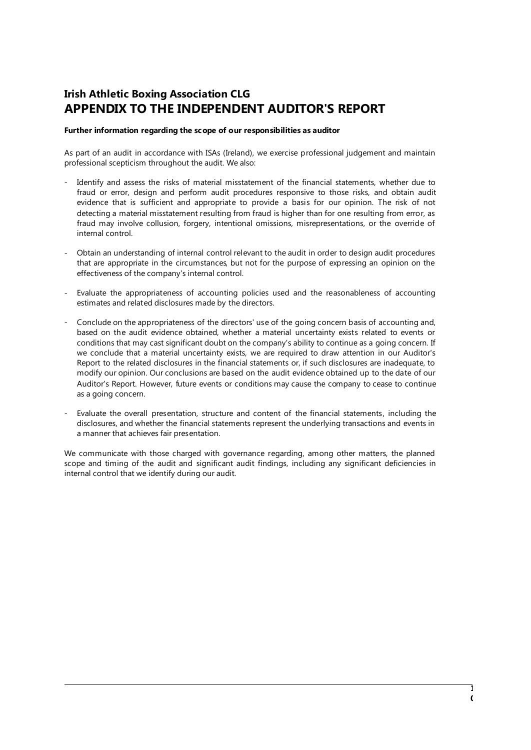## **Irish Athletic Boxing Association CLG APPENDIX TO THE INDEPENDENT AUDITOR'S REPORT**

#### <span id="page-9-0"></span>**Further information regarding the scope of our responsibilities as auditor**

As part of an audit in accordance with ISAs (Ireland), we exercise professional judgement and maintain professional scepticism throughout the audit. We also:

- Identify and assess the risks of material misstatement of the financial statements, whether due to fraud or error, design and perform audit procedures responsive to those risks, and obtain audit evidence that is sufficient and appropriate to provide a basis for our opinion. The risk of not detecting a material misstatement resulting from fraud is higher than for one resulting from error, as fraud may involve collusion, forgery, intentional omissions, misrepresentations, or the override of internal control.
- Obtain an understanding of internal control relevant to the audit in order to design audit procedures that are appropriate in the circumstances, but not for the purpose of expressing an opinion on the effectiveness of the company's internal control.
- Evaluate the appropriateness of accounting policies used and the reasonableness of accounting estimates and related disclosures made by the directors.
- Conclude on the appropriateness of the directors' use of the going concern basis of accounting and, based on the audit evidence obtained, whether a material uncertainty exists related to events or conditions that may cast significant doubt on the company's ability to continue as a going concern. If we conclude that a material uncertainty exists, we are required to draw attention in our Auditor's Report to the related disclosures in the financial statements or, if such disclosures are inadequate, to modify our opinion. Our conclusions are based on the audit evidence obtained up to the date of our Auditor's Report. However, future events or conditions may cause the company to cease to continue as a going concern.
- Evaluate the overall presentation, structure and content of the financial statements, including the disclosures, and whether the financial statements represent the underlying transactions and events in a manner that achieves fair presentation.

We communicate with those charged with governance regarding, among other matters, the planned scope and timing of the audit and significant audit findings, including any significant deficiencies in internal control that we identify during our audit.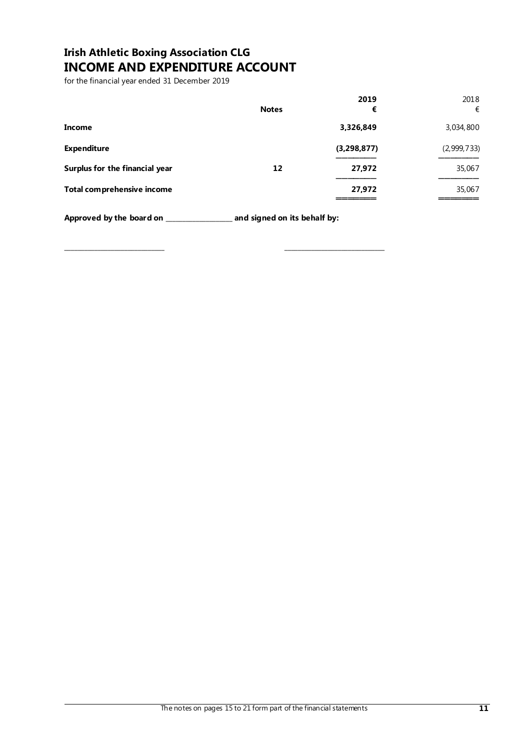# **Irish Athletic Boxing Association CLG INCOME AND EXPENDITURE ACCOUNT**

for the financial year ended 31 December 2019

<span id="page-10-0"></span>

|                                | <b>Notes</b> | 2019<br>€     | 2018<br>€   |
|--------------------------------|--------------|---------------|-------------|
| Income                         |              | 3,326,849     | 3,034,800   |
| <b>Expenditure</b>             |              | (3, 298, 877) | (2,999,733) |
| Surplus for the financial year | 12           | 27,972        | 35,067      |
| Total comprehensive income     |              | 27,972        | 35,067      |

**Approved by the board on \_\_\_\_\_\_\_\_\_\_\_\_\_\_\_\_\_\_\_\_ and signed on its behalf by:** 

**\_\_\_\_\_\_\_\_\_\_\_\_\_\_\_\_\_\_\_\_\_\_\_\_\_\_\_\_\_\_ \_\_\_\_\_\_\_\_\_\_\_\_\_\_\_\_\_\_\_\_\_\_\_\_\_\_\_\_\_\_**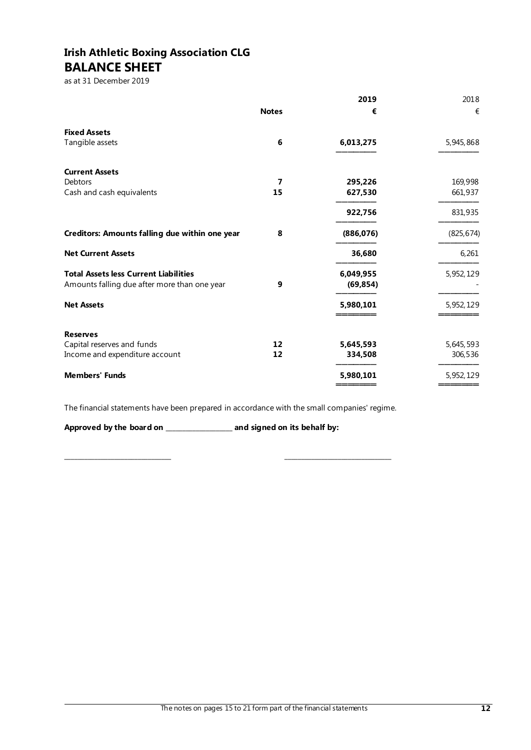# **Irish Athletic Boxing Association CLG BALANCE SHEET**

as at 31 December 2019

<span id="page-11-0"></span>

|                                                |              | 2019       | 2018       |
|------------------------------------------------|--------------|------------|------------|
|                                                | <b>Notes</b> | €          | €          |
| <b>Fixed Assets</b>                            |              |            |            |
| Tangible assets                                | 6            | 6,013,275  | 5,945,868  |
| <b>Current Assets</b>                          |              |            |            |
| Debtors                                        | 7            | 295,226    | 169,998    |
| Cash and cash equivalents                      | 15           | 627,530    | 661,937    |
|                                                |              | 922,756    | 831,935    |
| Creditors: Amounts falling due within one year | 8            | (886, 076) | (825, 674) |
| <b>Net Current Assets</b>                      |              | 36,680     | 6,261      |
| <b>Total Assets less Current Liabilities</b>   |              | 6,049,955  | 5,952,129  |
| Amounts falling due after more than one year   | 9            | (69, 854)  |            |
| <b>Net Assets</b>                              |              | 5,980,101  | 5,952,129  |
| <b>Reserves</b>                                |              |            |            |
| Capital reserves and funds                     | 12           | 5,645,593  | 5,645,593  |
| Income and expenditure account                 | 12           | 334,508    | 306,536    |
| <b>Members' Funds</b>                          |              | 5,980,101  | 5,952,129  |
|                                                |              |            |            |

The financial statements have been prepared in accordance with the small companies' regime.

**\_\_\_\_\_\_\_\_\_\_\_\_\_\_\_\_\_\_\_\_\_\_\_\_\_\_\_\_\_\_\_\_ \_\_\_\_\_\_\_\_\_\_\_\_\_\_\_\_\_\_\_\_\_\_\_\_\_\_\_\_\_\_\_\_**

**Approved by the board on \_\_\_\_\_\_\_\_\_\_\_\_\_\_\_\_\_\_\_\_ and signed on its behalf by:** 

The notes on pages 15 to 21 form part of the financial statements **12**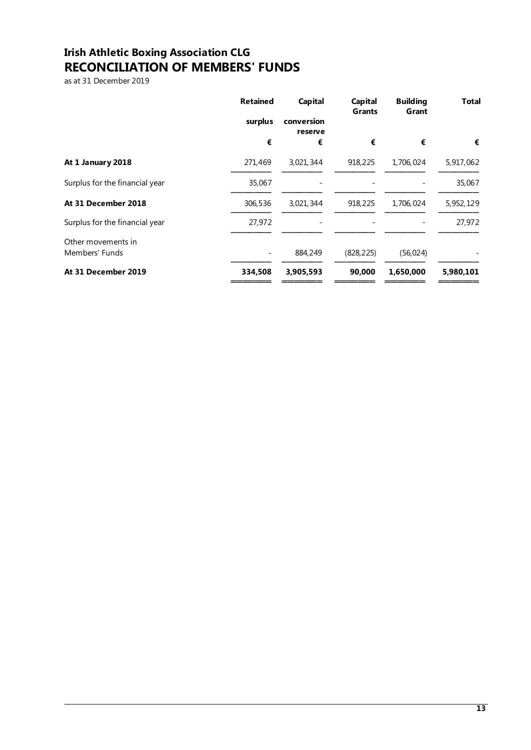# **Irish Athletic Boxing Association CLG RECONCILIATION OF MEMBERS' FUNDS**

<span id="page-12-0"></span>as at 31 December 2019

| €         |
|-----------|
| 5,917,062 |
| 35,067    |
| 5,952,129 |
| 27,972    |
|           |
| 5,980,101 |
|           |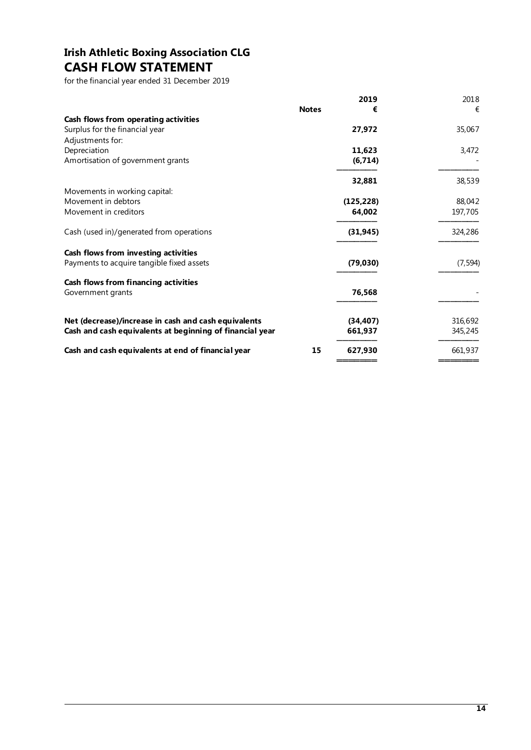# **Irish Athletic Boxing Association CLG CASH FLOW STATEMENT**

for the financial year ended 31 December 2019

<span id="page-13-0"></span>

|                                                          |              | 2019       | 2018     |
|----------------------------------------------------------|--------------|------------|----------|
|                                                          | <b>Notes</b> | €          | €        |
| Cash flows from operating activities                     |              |            |          |
| Surplus for the financial year                           |              | 27,972     | 35,067   |
| Adjustments for:                                         |              |            |          |
| Depreciation                                             |              | 11,623     | 3,472    |
| Amortisation of government grants                        |              | (6, 714)   |          |
|                                                          |              | 32,881     | 38,539   |
| Movements in working capital:                            |              |            |          |
| Movement in debtors                                      |              | (125, 228) | 88,042   |
| Movement in creditors                                    |              | 64,002     | 197,705  |
| Cash (used in)/generated from operations                 |              | (31, 945)  | 324,286  |
| Cash flows from investing activities                     |              |            |          |
| Payments to acquire tangible fixed assets                |              | (79,030)   | (7, 594) |
| Cash flows from financing activities                     |              |            |          |
| Government grants                                        |              | 76,568     |          |
| Net (decrease)/increase in cash and cash equivalents     |              | (34, 407)  | 316,692  |
| Cash and cash equivalents at beginning of financial year |              | 661,937    | 345,245  |
| Cash and cash equivalents at end of financial year       | 15           | 627.930    | 661,937  |
|                                                          |              |            |          |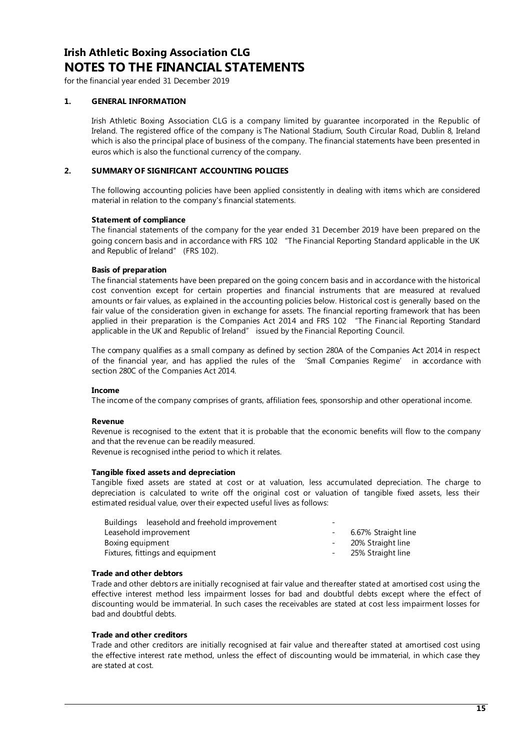## **Irish Athletic Boxing Association CLG NOTES TO THE FINANCIAL STATEMENTS**

for the financial year ended 31 December 2019

#### <span id="page-14-0"></span>**1. GENERAL INFORMATION**

Irish Athletic Boxing Association CLG is a company limited by guarantee incorporated in the Republic of Ireland. The registered office of the company is The National Stadium, South Circular Road, Dublin 8, Ireland which is also the principal place of business of the company. The financial statements have been presented in euros which is also the functional currency of the company.

#### **2. SUMMARY OF SIGNIFICANT ACCOUNTING POLICIES**

The following accounting policies have been applied consistently in dealing with items which are considered material in relation to the company's financial statements.

#### **Statement of compliance**

The financial statements of the company for the year ended 31 December 2019 have been prepared on the going concern basis and in accordance with FRS 102 "The Financial Reporting Standard applicable in the UK and Republic of Ireland" (FRS 102).

#### **Basis of preparation**

The financial statements have been prepared on the going concern basis and in accordance with the historical cost convention except for certain properties and financial instruments that are measured at revalued amounts or fair values, as explained in the accounting policies below. Historical cost is generally based on the fair value of the consideration given in exchange for assets. The financial reporting framework that has been applied in their preparation is the Companies Act 2014 and FRS 102 "The Financial Reporting Standard applicable in the UK and Republic of Ireland" issued by the Financial Reporting Council.

The company qualifies as a small company as defined by section 280A of the Companies Act 2014 in respect of the financial year, and has applied the rules of the 'Small Companies Regime' in accordance with section 280C of the Companies Act 2014.

#### **Income**

The income of the company comprises of grants, affiliation fees, sponsorship and other operational income.

#### **Revenue**

Revenue is recognised to the extent that it is probable that the economic benefits will flow to the company and that the revenue can be readily measured.

Revenue is recognised inthe period to which it relates.

#### **Tangible fixed assets and depreciation**

Tangible fixed assets are stated at cost or at valuation, less accumulated depreciation. The charge to depreciation is calculated to write off the original cost or valuation of tangible fixed assets, less their estimated residual value, over their expected useful lives as follows:

| Buildings leasehold and freehold improvement | - |                     |
|----------------------------------------------|---|---------------------|
| Leasehold improvement                        |   | 6.67% Straight line |
| Boxing equipment                             |   | - 20% Straight line |
| Fixtures, fittings and equipment             |   | - 25% Straight line |
|                                              |   |                     |

#### **Trade and other debtors**

Trade and other debtors are initially recognised at fair value and thereafter stated at amortised cost using the effective interest method less impairment losses for bad and doubtful debts except where the effect of discounting would be immaterial. In such cases the receivables are stated at cost less impairment losses for bad and doubtful debts.

#### **Trade and other creditors**

Trade and other creditors are initially recognised at fair value and thereafter stated at amortised cost using the effective interest rate method, unless the effect of discounting would be immaterial, in which case they are stated at cost.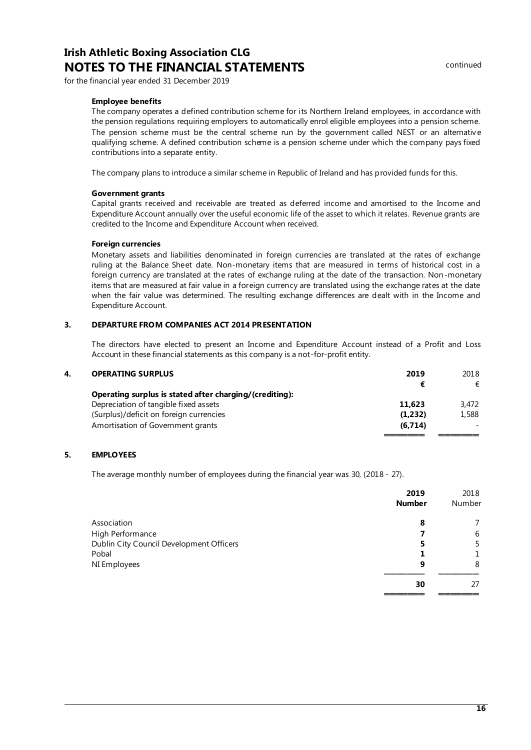## **Irish Athletic Boxing Association CLG NOTES TO THE FINANCIAL STATEMENTS Example 2001** continued

for the financial year ended 31 December 2019

#### **Employee benefits**

The company operates a defined contribution scheme for its Northern Ireland employees, in accordance with the pension regulations requiring employers to automatically enrol eligible employees into a pension scheme. The pension scheme must be the central scheme run by the government called NEST or an alternative qualifying scheme. A defined contribution scheme is a pension scheme under which the company pays fixed contributions into a separate entity.

The company plans to introduce a similar scheme in Republic of Ireland and has provided funds for this.

#### **Government grants**

Capital grants received and receivable are treated as deferred income and amortised to the Income and Expenditure Account annually over the useful economic life of the asset to which it relates. Revenue grants are credited to the Income and Expenditure Account when received.

#### **Foreign currencies**

Monetary assets and liabilities denominated in foreign currencies are translated at the rates of exchange ruling at the Balance Sheet date. Non-monetary items that are measured in terms of historical cost in a foreign currency are translated at the rates of exchange ruling at the date of the transaction. Non-monetary items that are measured at fair value in a foreign currency are translated using the exchange rates at the date when the fair value was determined. The resulting exchange differences are dealt with in the Income and Expenditure Account.

#### **3. DEPARTURE FROM COMPANIES ACT 2014 PRESENTATION**

The directors have elected to present an Income and Expenditure Account instead of a Profit and Loss Account in these financial statements as this company is a not-for-profit entity.

| 4. | <b>OPERATING SURPLUS</b>                                | 2019    | 2018  |
|----|---------------------------------------------------------|---------|-------|
|    |                                                         |         | €     |
|    | Operating surplus is stated after charging/(crediting): |         |       |
|    | Depreciation of tangible fixed assets                   | 11,623  | 3.472 |
|    | (Surplus)/deficit on foreign currencies                 | (1,232) | 1,588 |
|    | Amortisation of Government grants                       | (6,714) |       |
|    |                                                         |         |       |

#### **5. EMPLOYEES**

The average monthly number of employees during the financial year was 30, (2018 - 27).

|                                          | 2019          | 2018   |
|------------------------------------------|---------------|--------|
|                                          | <b>Number</b> | Number |
| Association                              | 8             |        |
| High Performance                         |               | 6      |
| Dublin City Council Development Officers |               | 5      |
| Pobal                                    |               |        |
| NI Employees                             | 9             | 8      |
|                                          | 30            | 27     |
|                                          |               |        |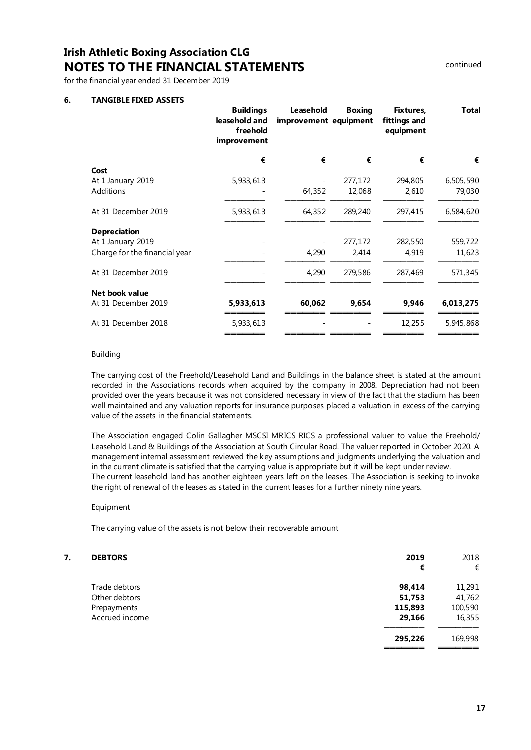## **Irish Athletic Boxing Association CLG NOTES TO THE FINANCIAL STATEMENTS Example 2001** continued

for the financial year ended 31 December 2019

#### **6. TANGIBLE FIXED ASSETS**

|                               | <b>Buildings</b><br>leasehold and<br>freehold<br>improvement | Leasehold<br>improvement equipment | <b>Boxing</b> | Fixtures,<br>fittings and<br>equipment | <b>Total</b> |
|-------------------------------|--------------------------------------------------------------|------------------------------------|---------------|----------------------------------------|--------------|
|                               | €                                                            | €                                  | €             | €                                      | €            |
| Cost                          |                                                              |                                    |               |                                        |              |
| At 1 January 2019             | 5,933,613                                                    |                                    | 277,172       | 294,805                                | 6,505,590    |
| Additions                     |                                                              | 64,352                             | 12,068        | 2,610                                  | 79,030       |
| At 31 December 2019           | 5,933,613                                                    | 64,352                             | 289,240       | 297,415                                | 6,584,620    |
| <b>Depreciation</b>           |                                                              |                                    |               |                                        |              |
| At 1 January 2019             |                                                              |                                    | 277,172       | 282,550                                | 559,722      |
| Charge for the financial year |                                                              | 4,290                              | 2,414         | 4,919                                  | 11,623       |
| At 31 December 2019           |                                                              | 4,290                              | 279,586       | 287,469                                | 571,345      |
| Net book value                |                                                              |                                    |               |                                        |              |
| At 31 December 2019           | 5,933,613                                                    | 60,062                             | 9,654         | 9,946                                  | 6,013,275    |
| At 31 December 2018           | 5,933,613                                                    |                                    |               | 12,255                                 | 5,945,868    |
|                               |                                                              |                                    |               |                                        |              |

#### Building

The carrying cost of the Freehold/Leasehold Land and Buildings in the balance sheet is stated at the amount recorded in the Associations records when acquired by the company in 2008. Depreciation had not been provided over the years because it was not considered necessary in view of the fact that the stadium has been well maintained and any valuation reports for insurance purposes placed a valuation in excess of the carrying value of the assets in the financial statements.

The Association engaged Colin Gallagher MSCSI MRICS RICS a professional valuer to value the Freehold/ Leasehold Land & Buildings of the Association at South Circular Road. The valuer reported in October 2020. A management internal assessment reviewed the key assumptions and judgments underlying the valuation and in the current climate is satisfied that the carrying value is appropriate but it will be kept under review. The current leasehold land has another eighteen years left on the leases. The Association is seeking to invoke the right of renewal of the leases as stated in the current leases for a further ninety nine years.

#### Equipment

The carrying value of the assets is not below their recoverable amount

| 7. | <b>DEBTORS</b> | 2019    | 2018    |
|----|----------------|---------|---------|
|    |                | €       | €       |
|    | Trade debtors  | 98,414  | 11,291  |
|    | Other debtors  | 51,753  | 41,762  |
|    | Prepayments    | 115,893 | 100,590 |
|    | Accrued income | 29,166  | 16,355  |
|    |                | 295,226 | 169,998 |
|    |                |         |         |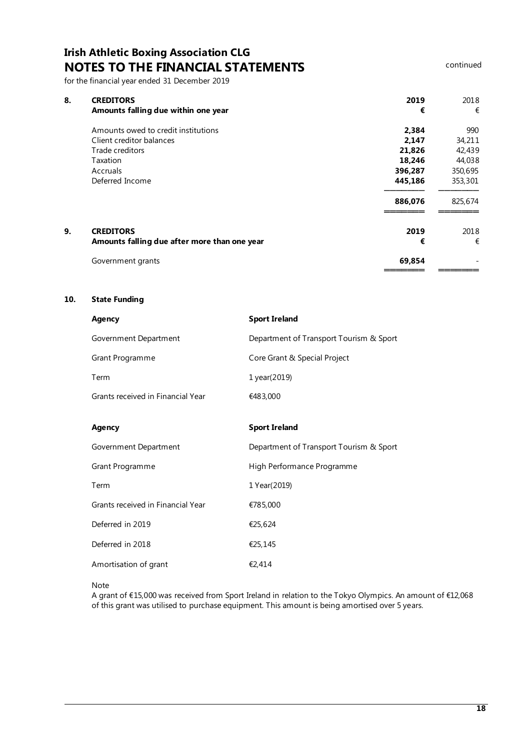# **Irish Athletic Boxing Association CLG NOTES TO THE FINANCIAL STATEMENTS CONTAINS CONTINUED**

for the financial year ended 31 December 2019

| 8. | <b>CREDITORS</b><br>Amounts falling due within one year | 2019<br>€ | 2018<br>€ |
|----|---------------------------------------------------------|-----------|-----------|
|    | Amounts owed to credit institutions                     | 2,384     | 990       |
|    | Client creditor balances                                | 2,147     | 34,211    |
|    | Trade creditors                                         | 21,826    | 42,439    |
|    | Taxation                                                | 18,246    | 44,038    |
|    | Accruals                                                | 396,287   | 350,695   |
|    | Deferred Income                                         | 445,186   | 353,301   |
|    |                                                         | 886,076   | 825,674   |
| 9. | <b>CREDITORS</b>                                        | 2019      | 2018      |
|    | Amounts falling due after more than one year            | €         | €         |
|    | Government grants                                       | 69,854    |           |
|    |                                                         |           |           |

#### **10. State Funding**

| Agency                            | <b>Sport Ireland</b>                    |
|-----------------------------------|-----------------------------------------|
| Government Department             | Department of Transport Tourism & Sport |
| Grant Programme                   | Core Grant & Special Project            |
| Term                              | 1 year(2019)                            |
| Grants received in Financial Year | €483,000                                |
|                                   |                                         |
| Agency                            | <b>Sport Ireland</b>                    |
| Government Department             | Department of Transport Tourism & Sport |
| Grant Programme                   | High Performance Programme              |
| Term                              | 1 Year(2019)                            |
| Grants received in Financial Year | €785,000                                |
| Deferred in 2019                  | €25,624                                 |
| Deferred in 2018                  | €25,145                                 |
| Amortisation of grant             | €2,414                                  |

Note

A grant of €15,000 was received from Sport Ireland in relation to the Tokyo Olympics. An amount of €12,068 of this grant was utilised to purchase equipment. This amount is being amortised over 5 years.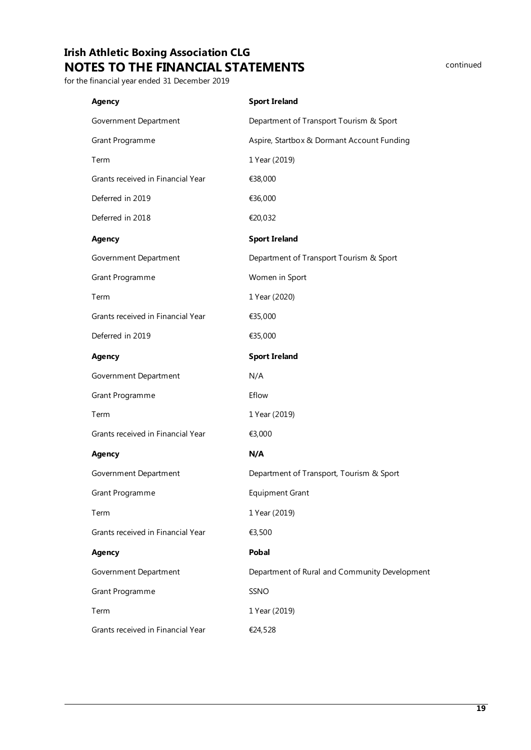# **Irish Athletic Boxing Association CLG NOTES TO THE FINANCIAL STATEMENTS Example 20 COntinued**

for the financial year ended 31 December 2019

| Agency                            | <b>Sport Ireland</b>                          |
|-----------------------------------|-----------------------------------------------|
| Government Department             | Department of Transport Tourism & Sport       |
| Grant Programme                   | Aspire, Startbox & Dormant Account Funding    |
| Term                              | 1 Year (2019)                                 |
| Grants received in Financial Year | €38,000                                       |
| Deferred in 2019                  | €36,000                                       |
| Deferred in 2018                  | €20,032                                       |
| <b>Agency</b>                     | <b>Sport Ireland</b>                          |
| Government Department             | Department of Transport Tourism & Sport       |
| Grant Programme                   | Women in Sport                                |
| Term                              | 1 Year (2020)                                 |
| Grants received in Financial Year | €35,000                                       |
| Deferred in 2019                  | €35,000                                       |
| <b>Agency</b>                     | <b>Sport Ireland</b>                          |
| Government Department             | N/A                                           |
|                                   |                                               |
| Grant Programme                   | Eflow                                         |
| Term                              | 1 Year (2019)                                 |
| Grants received in Financial Year | €3,000                                        |
| <b>Agency</b>                     | N/A                                           |
| Government Department             | Department of Transport, Tourism & Sport      |
| Grant Programme                   | Equipment Grant                               |
| Term                              | 1 Year (2019)                                 |
| Grants received in Financial Year | €3,500                                        |
| Agency                            | <b>Pobal</b>                                  |
| Government Department             | Department of Rural and Community Development |
| Grant Programme                   | SSNO                                          |
| Term                              | 1 Year (2019)                                 |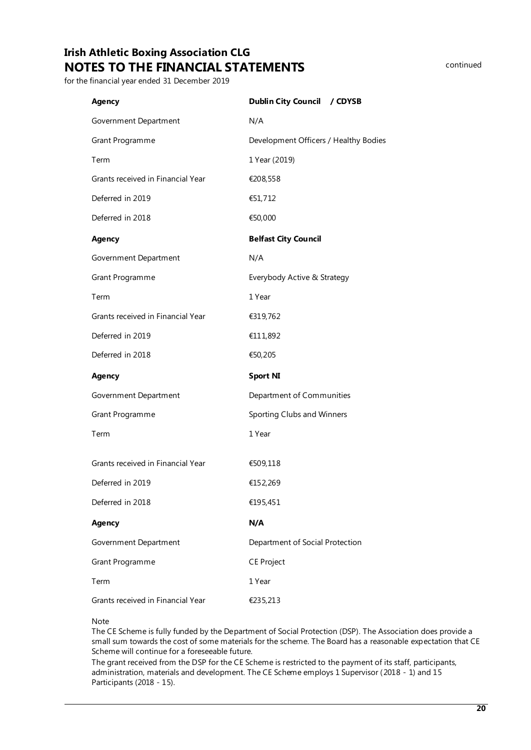# **Irish Athletic Boxing Association CLG NOTES TO THE FINANCIAL STATEMENTS**

for the financial year ended 31 December 2019

| <b>Agency</b>                     | Dublin City Council / CDYSB           |
|-----------------------------------|---------------------------------------|
| Government Department             | N/A                                   |
| Grant Programme                   | Development Officers / Healthy Bodies |
| Term                              | 1 Year (2019)                         |
| Grants received in Financial Year | €208,558                              |
| Deferred in 2019                  | €51,712                               |
| Deferred in 2018                  | €50,000                               |
| <b>Agency</b>                     | <b>Belfast City Council</b>           |
| Government Department             | N/A                                   |
| Grant Programme                   | Everybody Active & Strategy           |
| Term                              | 1 Year                                |
| Grants received in Financial Year | €319,762                              |
| Deferred in 2019                  | €111,892                              |
| Deferred in 2018                  | €50,205                               |
| <b>Agency</b>                     | <b>Sport NI</b>                       |
| Government Department             | Department of Communities             |
| Grant Programme                   | Sporting Clubs and Winners            |
| Term                              | 1 Year                                |
| Grants received in Financial Year | €509,118                              |
| Deferred in 2019                  | €152,269                              |
| Deferred in 2018                  | €195,451                              |
| <b>Agency</b>                     | N/A                                   |
| Government Department             | Department of Social Protection       |
| Grant Programme                   | <b>CE Project</b>                     |
| Term                              | 1 Year                                |
|                                   |                                       |
| Grants received in Financial Year | €235,213                              |

#### Note

The CE Scheme is fully funded by the Department of Social Protection (DSP). The Association does provide a small sum towards the cost of some materials for the scheme. The Board has a reasonable expectation that CE Scheme will continue for a foreseeable future.

The grant received from the DSP for the CE Scheme is restricted to the payment of its staff, participants, administration, materials and development. The CE Scheme employs 1 Supervisor (2018 - 1) and 15 Participants (2018 - 15).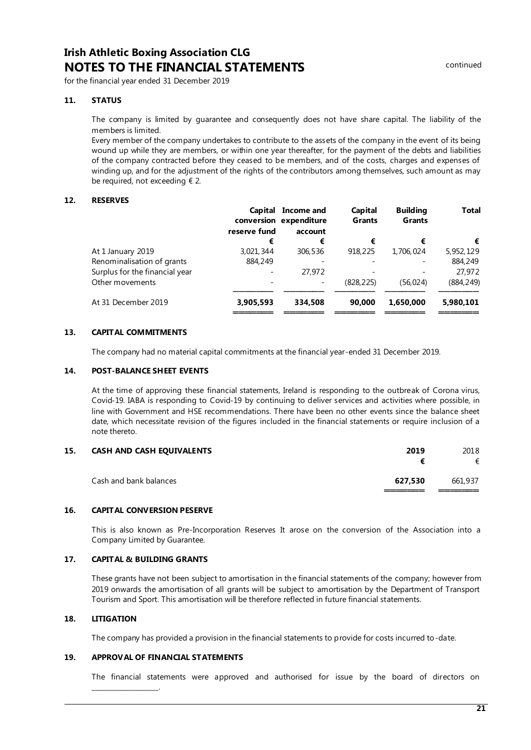## **Irish Athletic Boxing Association CLG NOTES TO THE FINANCIAL STATEMENTS Example 2001** continued

for the financial year ended 31 December 2019

#### **11. STATUS**

The company is limited by guarantee and consequently does not have share capital. The liability of the members is limited.

Every member of the company undertakes to contribute to the assets of the company in the event of its being wound up while they are members, or within one year thereafter, for the payment of the debts and liabilities of the company contracted before they ceased to be members, and of the costs, charges and expenses of winding up, and for the adjustment of the rights of the contributors among themselves, such amount as may be required, not exceeding  $\epsilon$  2.

#### **12. RESERVES**

|                                | Capital      | Income and<br>conversion expenditure | Capital<br><b>Grants</b> | <b>Building</b><br><b>Grants</b> | <b>Total</b> |
|--------------------------------|--------------|--------------------------------------|--------------------------|----------------------------------|--------------|
|                                | reserve fund | account                              |                          |                                  |              |
|                                | €            | €                                    | €                        | €                                | €            |
| At 1 January 2019              | 3,021,344    | 306,536                              | 918,225                  | 1,706,024                        | 5,952,129    |
| Renominalisation of grants     | 884,249      |                                      |                          |                                  | 884,249      |
| Surplus for the financial year |              | 27.972                               |                          |                                  | 27,972       |
| Other movements                |              | $\overline{\phantom{a}}$             | (828.225)                | (56.024)                         | (884,249)    |
| At 31 December 2019            | 3,905,593    | 334.508                              | 90.000                   | 1.650.000                        | 5,980,101    |

#### **13. CAPITAL COMMITMENTS**

The company had no material capital commitments at the financial year-ended 31 December 2019.

#### **14. POST-BALANCE SHEET EVENTS**

At the time of approving these financial statements, Ireland is responding to the outbreak of Corona virus, Covid‐19. IABA is responding to Covid‐19 by continuing to deliver services and activities where possible, in line with Government and HSE recommendations. There have been no other events since the balance sheet date, which necessitate revision of the figures included in the financial statements or require inclusion of a note thereto.

| 15. | <b>CASH AND CASH EQUIVALENTS</b> | 2019    | 2018    |
|-----|----------------------------------|---------|---------|
|     |                                  |         | €       |
|     | Cash and bank balances           | 627.530 | 661,937 |
|     |                                  |         |         |

#### **16. CAPITAL CONVERSION PESERVE**

This is also known as Pre-Incorporation Reserves It arose on the conversion of the Association into a Company Limited by Guarantee.

#### **17. CAPITAL & BUILDING GRANTS**

These grants have not been subject to amortisation in the financial statements of the company; however from 2019 onwards the amortisation of all grants will be subject to amortisation by the Department of Transport Tourism and Sport. This amortisation will be therefore reflected in future financial statements.

### **18. LITIGATION**

The company has provided a provision in the financial statements to provide for costs incurred to-date.

#### **19. APPROVAL OF FINANCIAL STATEMENTS**

<span id="page-20-0"></span>\_\_\_\_\_\_\_\_\_\_\_\_\_\_\_\_\_\_\_\_.

The financial statements were approved and authorised for issue by the board of directors on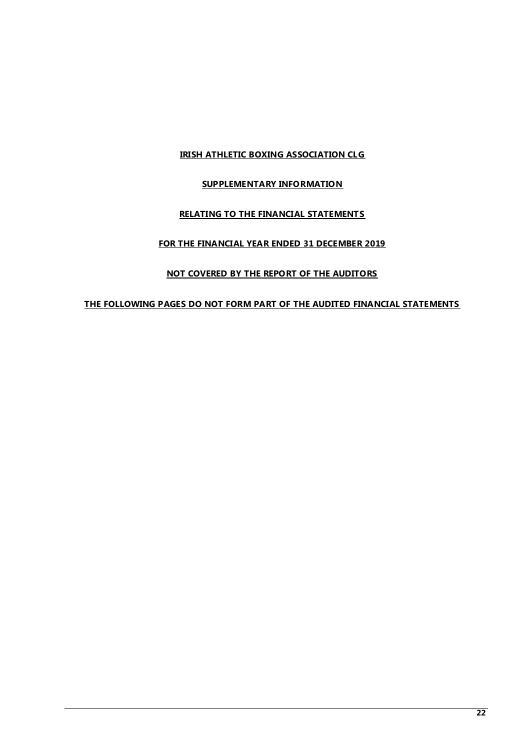### **IRISH ATHLETIC BOXING ASSOCIATION CLG**

### **SUPPLEMENTARY INFORMATION**

### **RELATING TO THE FINANCIAL STATEMENTS**

### **FOR THE FINANCIAL YEAR ENDED 31 DECEMBER 2019**

### **NOT COVERED BY THE REPORT OF THE AUDITORS**

### **THE FOLLOWING PAGES DO NOT FORM PART OF THE AUDITED FINANCIAL STATEMENTS**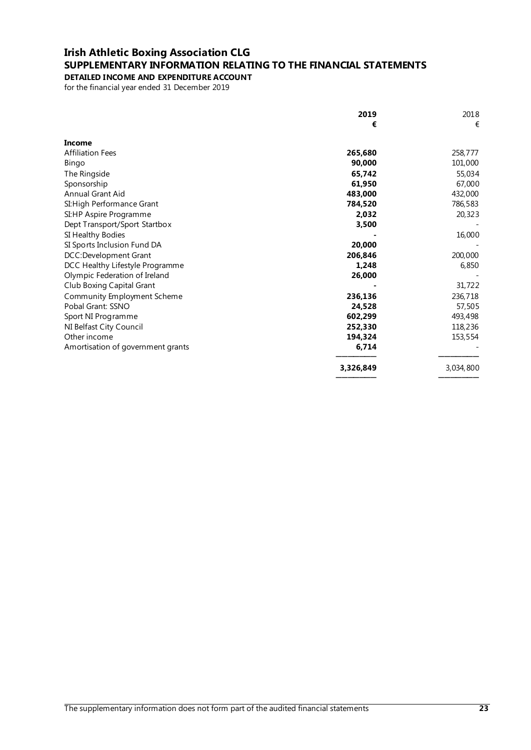### **Irish Athletic Boxing Association CLG SUPPLEMENTARY INFORMATION RELATING TO THE FINANCIAL STATEMENTS DETAILED INCOME AND EXPENDITURE ACCOUNT**

for the financial year ended 31 December 2019

<span id="page-22-0"></span>

|                                   | 2019      | 2018      |
|-----------------------------------|-----------|-----------|
|                                   | €         | €         |
| Income                            |           |           |
| <b>Affiliation Fees</b>           | 265,680   | 258,777   |
| Bingo                             | 90,000    | 101,000   |
| The Ringside                      | 65,742    | 55,034    |
| Sponsorship                       | 61,950    | 67,000    |
| Annual Grant Aid                  | 483,000   | 432,000   |
| SI: High Performance Grant        | 784,520   | 786,583   |
| SI:HP Aspire Programme            | 2,032     | 20,323    |
| Dept Transport/Sport Startbox     | 3,500     |           |
| SI Healthy Bodies                 |           | 16,000    |
| SI Sports Inclusion Fund DA       | 20,000    |           |
| DCC:Development Grant             | 206,846   | 200,000   |
| DCC Healthy Lifestyle Programme   | 1,248     | 6,850     |
| Olympic Federation of Ireland     | 26,000    |           |
| <b>Club Boxing Capital Grant</b>  |           | 31,722    |
| Community Employment Scheme       | 236,136   | 236,718   |
| Pobal Grant: SSNO                 | 24,528    | 57,505    |
| Sport NI Programme                | 602,299   | 493,498   |
| NI Belfast City Council           | 252,330   | 118,236   |
| Other income                      | 194,324   | 153,554   |
| Amortisation of government grants | 6,714     |           |
|                                   | 3,326,849 | 3,034,800 |
|                                   |           |           |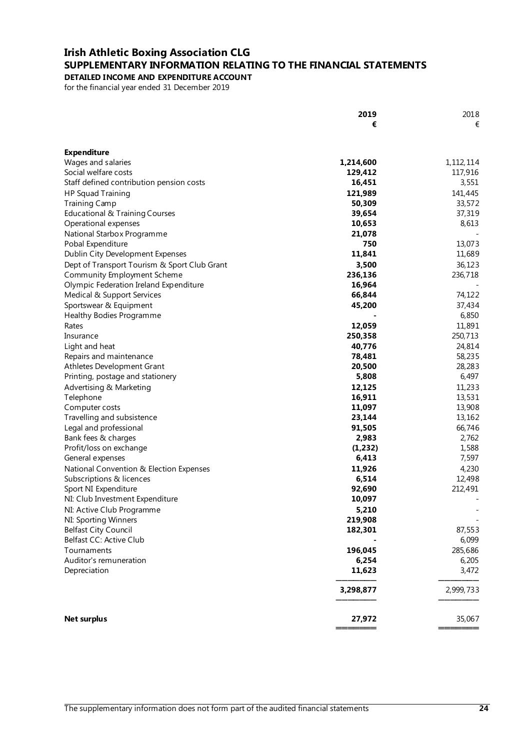### **Irish Athletic Boxing Association CLG SUPPLEMENTARY INFORMATION RELATING TO THE FINANCIAL STATEMENTS DETAILED INCOME AND EXPENDITURE ACCOUNT**

for the financial year ended 31 December 2019

|                                                                | 2019      | 2018        |
|----------------------------------------------------------------|-----------|-------------|
|                                                                | €         | €           |
|                                                                |           |             |
| <b>Expenditure</b>                                             |           |             |
| Wages and salaries                                             | 1,214,600 | 1, 112, 114 |
| Social welfare costs                                           | 129,412   | 117,916     |
| Staff defined contribution pension costs                       | 16,451    | 3,551       |
| <b>HP Squad Training</b>                                       | 121,989   | 141,445     |
| <b>Training Camp</b>                                           | 50,309    | 33,572      |
| Educational & Training Courses                                 | 39,654    | 37,319      |
| Operational expenses                                           | 10,653    | 8,613       |
| National Starbox Programme                                     | 21,078    |             |
| Pobal Expenditure                                              | 750       | 13,073      |
| Dublin City Development Expenses                               | 11,841    | 11,689      |
| Dept of Transport Tourism & Sport Club Grant                   | 3,500     | 36,123      |
| Community Employment Scheme                                    | 236,136   | 236,718     |
| Olympic Federation Ireland Expenditure                         | 16,964    |             |
| Medical & Support Services                                     | 66,844    | 74,122      |
| Sportswear & Equipment                                         | 45,200    | 37,434      |
| Healthy Bodies Programme                                       |           | 6,850       |
| Rates                                                          | 12,059    | 11,891      |
| Insurance                                                      | 250,358   | 250,713     |
|                                                                | 40,776    | 24,814      |
| Light and heat<br>Repairs and maintenance                      | 78,481    | 58,235      |
|                                                                | 20,500    | 28,283      |
| Athletes Development Grant<br>Printing, postage and stationery | 5,808     | 6,497       |
| Advertising & Marketing                                        | 12,125    | 11,233      |
|                                                                | 16,911    | 13,531      |
| Telephone<br>Computer costs                                    | 11,097    | 13,908      |
| Travelling and subsistence                                     | 23,144    | 13,162      |
| Legal and professional                                         | 91,505    | 66,746      |
| Bank fees & charges                                            | 2,983     | 2,762       |
| Profit/loss on exchange                                        | (1,232)   | 1,588       |
| General expenses                                               | 6,413     | 7,597       |
| National Convention & Election Expenses                        | 11,926    | 4,230       |
| Subscriptions & licences                                       | 6,514     | 12,498      |
| Sport NI Expenditure                                           | 92,690    | 212,491     |
| NI: Club Investment Expenditure                                | 10,097    |             |
| NI: Active Club Programme                                      | 5,210     |             |
| NI: Sporting Winners                                           | 219,908   |             |
| <b>Belfast City Council</b>                                    | 182,301   | 87,553      |
| Belfast CC: Active Club                                        |           | 6,099       |
| Tournaments                                                    | 196,045   | 285,686     |
| Auditor's remuneration                                         | 6,254     | 6,205       |
| Depreciation                                                   | 11,623    | 3,472       |
|                                                                |           |             |
|                                                                | 3,298,877 | 2,999,733   |
|                                                                |           |             |
|                                                                |           |             |
| <b>Net surplus</b>                                             | 27,972    | 35,067      |
|                                                                |           |             |